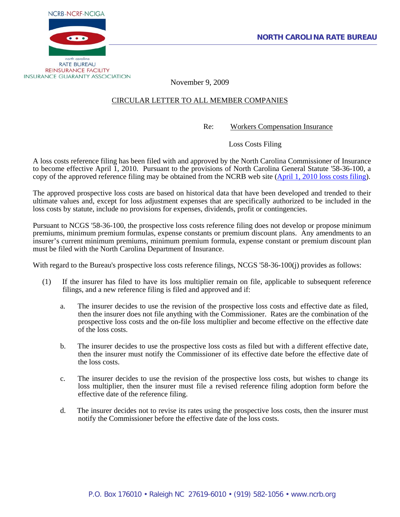



November 9, 2009

## CIRCULAR LETTER TO ALL MEMBER COMPANIES

Re: Workers Compensation Insurance

Loss Costs Filing

A loss costs reference filing has been filed with and approved by the North Carolina Commissioner of Insurance to become effective April 1, 2010. Pursuant to the provisions of North Carolina General Statute '58-36-100, a copy of the approved reference filing may be obtained from the NCRB web site [\(April 1, 2010 loss costs filing\)](http://www.ncrb.org/ncrb/WorkersCompensation/Carrier/LossCostsandAssignedRiskRates/tabid/124/Default.aspx).

The approved prospective loss costs are based on historical data that have been developed and trended to their ultimate values and, except for loss adjustment expenses that are specifically authorized to be included in the loss costs by statute, include no provisions for expenses, dividends, profit or contingencies.

Pursuant to NCGS '58-36-100, the prospective loss costs reference filing does not develop or propose minimum premiums, minimum premium formulas, expense constants or premium discount plans. Any amendments to an insurer's current minimum premiums, minimum premium formula, expense constant or premium discount plan must be filed with the North Carolina Department of Insurance.

With regard to the Bureau's prospective loss costs reference filings, NCGS '58-36-100(j) provides as follows:

- (1) If the insurer has filed to have its loss multiplier remain on file, applicable to subsequent reference filings, and a new reference filing is filed and approved and if:
	- a. The insurer decides to use the revision of the prospective loss costs and effective date as filed, then the insurer does not file anything with the Commissioner. Rates are the combination of the prospective loss costs and the on-file loss multiplier and become effective on the effective date of the loss costs.
	- b. The insurer decides to use the prospective loss costs as filed but with a different effective date, then the insurer must notify the Commissioner of its effective date before the effective date of the loss costs.
	- c. The insurer decides to use the revision of the prospective loss costs, but wishes to change its loss multiplier, then the insurer must file a revised reference filing adoption form before the effective date of the reference filing.
	- d. The insurer decides not to revise its rates using the prospective loss costs, then the insurer must notify the Commissioner before the effective date of the loss costs.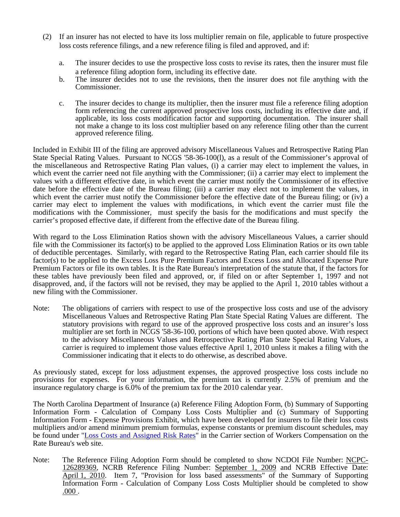- (2) If an insurer has not elected to have its loss multiplier remain on file, applicable to future prospective loss costs reference filings, and a new reference filing is filed and approved, and if:
	- a. The insurer decides to use the prospective loss costs to revise its rates, then the insurer must file a reference filing adoption form, including its effective date.
	- b. The insurer decides not to use the revisions, then the insurer does not file anything with the Commissioner.
	- c. The insurer decides to change its multiplier, then the insurer must file a reference filing adoption form referencing the current approved prospective loss costs, including its effective date and, if applicable, its loss costs modification factor and supporting documentation. The insurer shall not make a change to its loss cost multiplier based on any reference filing other than the current approved reference filing.

Included in Exhibit III of the filing are approved advisory Miscellaneous Values and Retrospective Rating Plan State Special Rating Values. Pursuant to NCGS '58-36-100(l), as a result of the Commissioner's approval of the miscellaneous and Retrospective Rating Plan values, (i) a carrier may elect to implement the values, in which event the carrier need not file anything with the Commissioner; (ii) a carrier may elect to implement the values with a different effective date, in which event the carrier must notify the Commissioner of its effective date before the effective date of the Bureau filing; (iii) a carrier may elect not to implement the values, in which event the carrier must notify the Commissioner before the effective date of the Bureau filing; or (iv) a carrier may elect to implement the values with modifications, in which event the carrier must file the modifications with the Commissioner, must specify the basis for the modifications and must specify the carrier's proposed effective date, if different from the effective date of the Bureau filing.

With regard to the Loss Elimination Ratios shown with the advisory Miscellaneous Values, a carrier should file with the Commissioner its factor(s) to be applied to the approved Loss Elimination Ratios or its own table of deductible percentages. Similarly, with regard to the Retrospective Rating Plan, each carrier should file its factor(s) to be applied to the Excess Loss Pure Premium Factors and Excess Loss and Allocated Expense Pure Premium Factors or file its own tables. It is the Rate Bureau's interpretation of the statute that, if the factors for these tables have previously been filed and approved, or, if filed on or after September 1, 1997 and not disapproved, and, if the factors will not be revised, they may be applied to the April 1, 2010 tables without a new filing with the Commissioner.

Note: The obligations of carriers with respect to use of the prospective loss costs and use of the advisory Miscellaneous Values and Retrospective Rating Plan State Special Rating Values are different. The statutory provisions with regard to use of the approved prospective loss costs and an insurer's loss multiplier are set forth in NCGS '58-36-100, portions of which have been quoted above. With respect to the advisory Miscellaneous Values and Retrospective Rating Plan State Special Rating Values, a carrier is required to implement those values effective April 1, 2010 unless it makes a filing with the Commissioner indicating that it elects to do otherwise, as described above.

As previously stated, except for loss adjustment expenses, the approved prospective loss costs include no provisions for expenses. For your information, the premium tax is currently 2.5% of premium and the insurance regulatory charge is 6.0% of the premium tax for the 2010 calendar year.

The North Carolina Department of Insurance (a) Reference Filing Adoption Form, (b) Summary of Supporting Information Form - Calculation of Company Loss Costs Multiplier and (c) Summary of Supporting Information Form - Expense Provisions Exhibit, which have been developed for insurers to file their loss costs multipliers and/or amend minimum premium formulas, expense constants or premium discount schedules, may be found under ["Loss Costs and Assigned Risk Rates"](http://www.ncrb.org/ncrb/WorkersCompensation/Carrier/LossCostsandAssignedRiskRates/tabid/124/Default.aspx) in the Carrier section of Workers Compensation on the Rate Bureau's web site.

Note: The Reference Filing Adoption Form should be completed to show NCDOI File Number: NCPC-126289369, NCRB Reference Filing Number: September 1, 2009 and NCRB Effective Date: April 1, 2010. Item 7, "Provision for loss based assessments" of the Summary of Supporting Information Form - Calculation of Company Loss Costs Multiplier should be completed to show .000 .